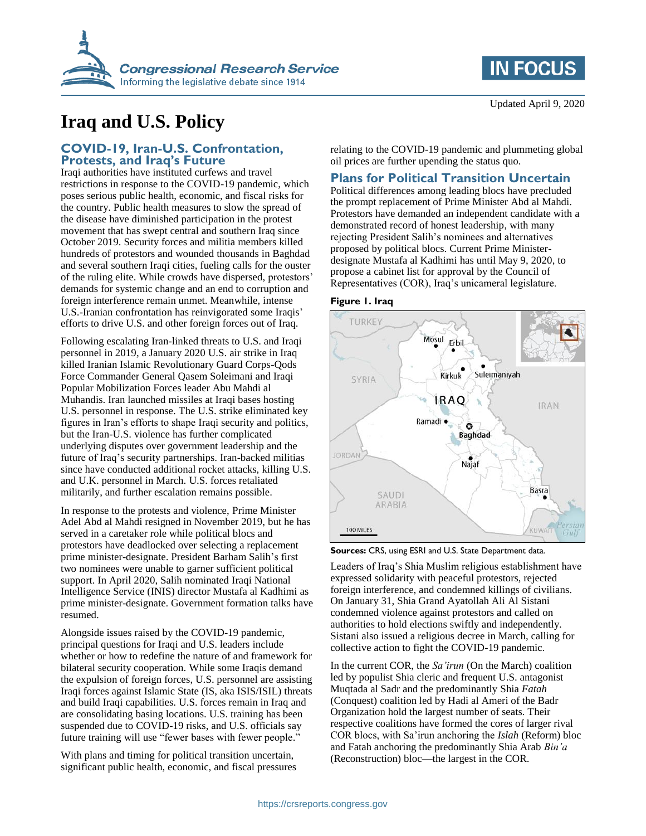

# **Iraq and U.S. Policy**

### **COVID-19, Iran-U.S. Confrontation, Protests, and Iraq's Future**

Iraqi authorities have instituted curfews and travel restrictions in response to the COVID-19 pandemic, which poses serious public health, economic, and fiscal risks for the country. Public health measures to slow the spread of the disease have diminished participation in the protest movement that has swept central and southern Iraq since October 2019. Security forces and militia members killed hundreds of protestors and wounded thousands in Baghdad and several southern Iraqi cities, fueling calls for the ouster of the ruling elite. While crowds have dispersed, protestors' demands for systemic change and an end to corruption and foreign interference remain unmet. Meanwhile, intense U.S.-Iranian confrontation has reinvigorated some Iraqis' efforts to drive U.S. and other foreign forces out of Iraq.

Following escalating Iran-linked threats to U.S. and Iraqi personnel in 2019, a January 2020 U.S. air strike in Iraq killed Iranian Islamic Revolutionary Guard Corps-Qods Force Commander General Qasem Soleimani and Iraqi Popular Mobilization Forces leader Abu Mahdi al Muhandis. Iran launched missiles at Iraqi bases hosting U.S. personnel in response. The U.S. strike eliminated key figures in Iran's efforts to shape Iraqi security and politics, but the Iran-U.S. violence has further complicated underlying disputes over government leadership and the future of Iraq's security partnerships. Iran-backed militias since have conducted additional rocket attacks, killing U.S. and U.K. personnel in March. U.S. forces retaliated militarily, and further escalation remains possible.

In response to the protests and violence, Prime Minister Adel Abd al Mahdi resigned in November 2019, but he has served in a caretaker role while political blocs and protestors have deadlocked over selecting a replacement prime minister-designate. President Barham Salih's first two nominees were unable to garner sufficient political support. In April 2020, Salih nominated Iraqi National Intelligence Service (INIS) director Mustafa al Kadhimi as prime minister-designate. Government formation talks have resumed.

Alongside issues raised by the COVID-19 pandemic, principal questions for Iraqi and U.S. leaders include whether or how to redefine the nature of and framework for bilateral security cooperation. While some Iraqis demand the expulsion of foreign forces, U.S. personnel are assisting Iraqi forces against Islamic State (IS, aka ISIS/ISIL) threats and build Iraqi capabilities. U.S. forces remain in Iraq and are consolidating basing locations. U.S. training has been suspended due to COVID-19 risks, and U.S. officials say future training will use "fewer bases with fewer people."

With plans and timing for political transition uncertain, significant public health, economic, and fiscal pressures relating to the COVID-19 pandemic and plummeting global oil prices are further upending the status quo.

## **Plans for Political Transition Uncertain**

Political differences among leading blocs have precluded the prompt replacement of Prime Minister Abd al Mahdi. Protestors have demanded an independent candidate with a demonstrated record of honest leadership, with many rejecting President Salih's nominees and alternatives proposed by political blocs. Current Prime Ministerdesignate Mustafa al Kadhimi has until May 9, 2020, to propose a cabinet list for approval by the Council of Representatives (COR), Iraq's unicameral legislature.





**Sources:** CRS, using ESRI and U.S. State Department data.

Leaders of Iraq's Shia Muslim religious establishment have expressed solidarity with peaceful protestors, rejected foreign interference, and condemned killings of civilians. On January 31, Shia Grand Ayatollah Ali Al Sistani condemned violence against protestors and called on authorities to hold elections swiftly and independently. Sistani also issued a religious decree in March, calling for collective action to fight the COVID-19 pandemic.

In the current COR, the *Sa'irun* (On the March) coalition led by populist Shia cleric and frequent U.S. antagonist Muqtada al Sadr and the predominantly Shia *Fatah* (Conquest) coalition led by Hadi al Ameri of the Badr Organization hold the largest number of seats. Their respective coalitions have formed the cores of larger rival COR blocs, with Sa'irun anchoring the *Islah* (Reform) bloc and Fatah anchoring the predominantly Shia Arab *Bin'a* (Reconstruction) bloc—the largest in the COR.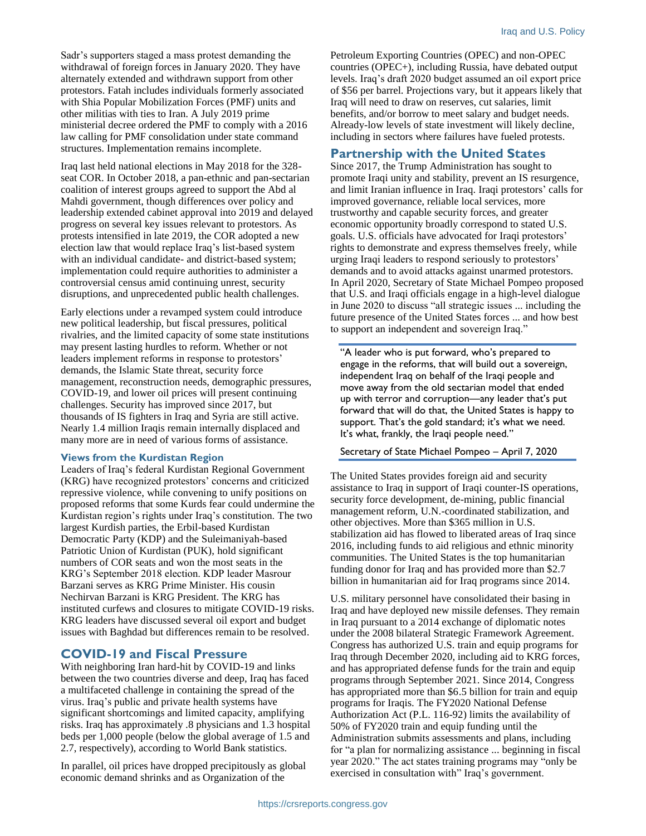Sadr's supporters staged a mass protest demanding the withdrawal of foreign forces in January 2020. They have alternately extended and withdrawn support from other protestors. Fatah includes individuals formerly associated with Shia Popular Mobilization Forces (PMF) units and other militias with ties to Iran. A July 2019 prime ministerial decree ordered the PMF to comply with a 2016 law calling for PMF consolidation under state command structures. Implementation remains incomplete.

Iraq last held national elections in May 2018 for the 328 seat COR. In October 2018, a pan-ethnic and pan-sectarian coalition of interest groups agreed to support the Abd al Mahdi government, though differences over policy and leadership extended cabinet approval into 2019 and delayed progress on several key issues relevant to protestors. As protests intensified in late 2019, the COR adopted a new election law that would replace Iraq's list-based system with an individual candidate- and district-based system; implementation could require authorities to administer a controversial census amid continuing unrest, security disruptions, and unprecedented public health challenges.

Early elections under a revamped system could introduce new political leadership, but fiscal pressures, political rivalries, and the limited capacity of some state institutions may present lasting hurdles to reform. Whether or not leaders implement reforms in response to protestors' demands, the Islamic State threat, security force management, reconstruction needs, demographic pressures, COVID-19, and lower oil prices will present continuing challenges. Security has improved since 2017, but thousands of IS fighters in Iraq and Syria are still active. Nearly 1.4 million Iraqis remain internally displaced and many more are in need of various forms of assistance.

#### **Views from the Kurdistan Region**

Leaders of Iraq's federal Kurdistan Regional Government (KRG) have recognized protestors' concerns and criticized repressive violence, while convening to unify positions on proposed reforms that some Kurds fear could undermine the Kurdistan region's rights under Iraq's constitution. The two largest Kurdish parties, the Erbil-based Kurdistan Democratic Party (KDP) and the Suleimaniyah-based Patriotic Union of Kurdistan (PUK), hold significant numbers of COR seats and won the most seats in the KRG's September 2018 election. KDP leader Masrour Barzani serves as KRG Prime Minister. His cousin Nechirvan Barzani is KRG President. The KRG has instituted curfews and closures to mitigate COVID-19 risks. KRG leaders have discussed several oil export and budget issues with Baghdad but differences remain to be resolved.

#### **COVID-19 and Fiscal Pressure**

With neighboring Iran hard-hit by COVID-19 and links between the two countries diverse and deep, Iraq has faced a multifaceted challenge in containing the spread of the virus. Iraq's public and private health systems have significant shortcomings and limited capacity, amplifying risks. Iraq has approximately .8 physicians and 1.3 hospital beds per 1,000 people (below the global average of 1.5 and 2.7, respectively), according to World Bank statistics.

In parallel, oil prices have dropped precipitously as global economic demand shrinks and as Organization of the

Petroleum Exporting Countries (OPEC) and non-OPEC countries (OPEC+), including Russia, have debated output levels. Iraq's draft 2020 budget assumed an oil export price of \$56 per barrel. Projections vary, but it appears likely that Iraq will need to draw on reserves, cut salaries, limit benefits, and/or borrow to meet salary and budget needs. Already-low levels of state investment will likely decline, including in sectors where failures have fueled protests.

#### **Partnership with the United States**

Since 2017, the Trump Administration has sought to promote Iraqi unity and stability, prevent an IS resurgence, and limit Iranian influence in Iraq. Iraqi protestors' calls for improved governance, reliable local services, more trustworthy and capable security forces, and greater economic opportunity broadly correspond to stated U.S. goals. U.S. officials have advocated for Iraqi protestors' rights to demonstrate and express themselves freely, while urging Iraqi leaders to respond seriously to protestors' demands and to avoid attacks against unarmed protestors. In April 2020, Secretary of State Michael Pompeo proposed that U.S. and Iraqi officials engage in a high-level dialogue in June 2020 to discuss "all strategic issues ... including the future presence of the United States forces ... and how best to support an independent and sovereign Iraq."

"A leader who is put forward, who's prepared to engage in the reforms, that will build out a sovereign, independent Iraq on behalf of the Iraqi people and move away from the old sectarian model that ended up with terror and corruption—any leader that's put forward that will do that, the United States is happy to support. That's the gold standard; it's what we need. It's what, frankly, the Iraqi people need."

#### Secretary of State Michael Pompeo – April 7, 2020

The United States provides foreign aid and security assistance to Iraq in support of Iraqi counter-IS operations, security force development, de-mining, public financial management reform, U.N.-coordinated stabilization, and other objectives. More than \$365 million in U.S. stabilization aid has flowed to liberated areas of Iraq since 2016, including funds to aid religious and ethnic minority communities. The United States is the top humanitarian funding donor for Iraq and has provided more than \$2.7 billion in humanitarian aid for Iraq programs since 2014.

U.S. military personnel have consolidated their basing in Iraq and have deployed new missile defenses. They remain in Iraq pursuant to a 2014 exchange of diplomatic notes under the 2008 bilateral Strategic Framework Agreement. Congress has authorized U.S. train and equip programs for Iraq through December 2020, including aid to KRG forces, and has appropriated defense funds for the train and equip programs through September 2021. Since 2014, Congress has appropriated more than \$6.5 billion for train and equip programs for Iraqis. The FY2020 National Defense Authorization Act (P.L. 116-92) limits the availability of 50% of FY2020 train and equip funding until the Administration submits assessments and plans, including for "a plan for normalizing assistance ... beginning in fiscal year 2020." The act states training programs may "only be exercised in consultation with" Iraq's government.